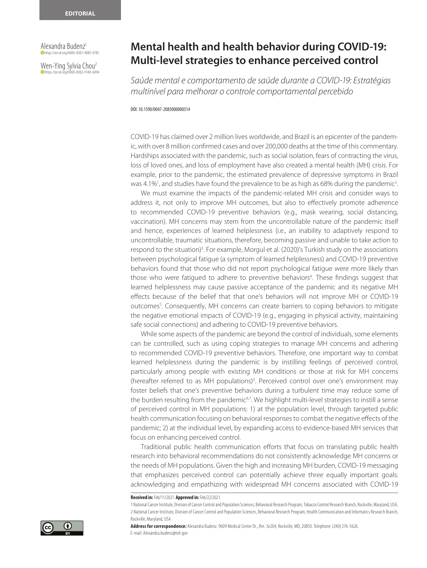Alexandra Budenz1 https://orcid.org/0000-0001-9885-9785

Wen-Ying Sylvia Chou<sup>2</sup> **https://orcid.org/0000-0002-9140-6094** 

## **Mental health and health behavior during COVID-19: Multi-level strategies to enhance perceived control**

*Saúde mental e comportamento de saúde durante a COVID-19: Estratégias multinível para melhorar o controle comportamental percebido*

DOI: 10.1590/0047-2085000000314

COVID-19 has claimed over 2 million lives worldwide, and Brazil is an epicenter of the pandemic, with over 8 million confirmed cases and over 200,000 deaths at the time of this commentary. Hardships associated with the pandemic, such as social isolation, fears of contracting the virus, loss of loved ones, and loss of employment have also created a mental health (MH) crisis. For example, prior to the pandemic, the estimated prevalence of depressive symptoms in Brazil was 4.1%<sup>1</sup>, and studies have found the prevalence to be as high as 68% during the pandemic<sup>2</sup> .

We must examine the impacts of the pandemic-related MH crisis and consider ways to address it, not only to improve MH outcomes, but also to effectively promote adherence to recommended COVID-19 preventive behaviors (e.g., mask wearing, social distancing, vaccination). MH concerns may stem from the uncontrollable nature of the pandemic itself and hence, experiences of learned helplessness (i.e., an inability to adaptively respond to uncontrollable, traumatic situations, therefore, becoming passive and unable to take action to respond to the situation)<sup>3</sup>. For example, Morgul et al. (2020)'s Turkish study on the associations between psychological fatigue (a symptom of learned helplessness) and COVID-19 preventive behaviors found that those who did not report psychological fatigue were more likely than those who were fatigued to adhere to preventive behaviors<sup>4</sup>. These findings suggest that learned helplessness may cause passive acceptance of the pandemic and its negative MH effects because of the belief that that one's behaviors will not improve MH or COVID-19 outcomes<sup>5</sup>. Consequently, MH concerns can create barriers to coping behaviors to mitigate the negative emotional impacts of COVID-19 (e.g., engaging in physical activity, maintaining safe social connections) and adhering to COVID-19 preventive behaviors.

While some aspects of the pandemic are beyond the control of individuals, some elements can be controlled, such as using coping strategies to manage MH concerns and adhering to recommended COVID-19 preventive behaviors. Therefore, one important way to combat learned helplessness during the pandemic is by instilling feelings of perceived control, particularly among people with existing MH conditions or those at risk for MH concerns (hereafter referred to as MH populations)<sup>3</sup>. Perceived control over one's environment may foster beliefs that one's preventive behaviors during a turbulent time may reduce some of the burden resulting from the pandemic<sup>67</sup>. We highlight multi-level strategies to instill a sense of perceived control in MH populations: 1) at the population level, through targeted public health communication focusing on behavioral responses to combat the negative effects of the pandemic; 2) at the individual level, by expanding access to evidence-based MH services that focus on enhancing perceived control.

Traditional public health communication efforts that focus on translating public health research into behavioral recommendations do not consistently acknowledge MH concerns or the needs of MH populations. Given the high and increasing MH burden, COVID-19 messaging that emphasizes perceived control can potentially achieve three equally important goals: acknowledging and empathizing with widespread MH concerns associated with COVID-19

**Received in:** Feb/11/2021. **Approved in:** Feb/22/2021

**Address for correspondence:** Alexandra Budenz. 9609 Medical Center Dr., Rm. 3e204, Rockville, MD, 20850. Telephone: (240) 276-5626. E-mail: Alexandra.budenz@nih.gov



<sup>1</sup> National Cancer Institute, Division of Cancer Control and Population Sciences, Behavioral Research Program, Tobacco Control Research Branch, Rockville, Maryland, USA. 2 National Cancer Institute, Division of Cancer Control and Population Sciences, Behavioral Research Program, Health Communication and Informatics Research Branch, Rockville, Maryland, USA